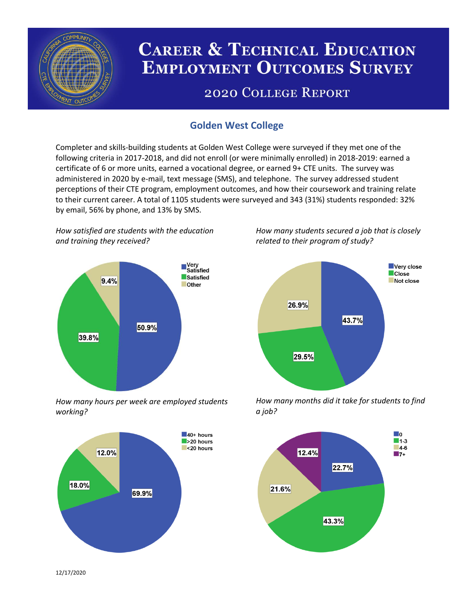

# **CAREER & TECHNICAL EDUCATION EMPLOYMENT OUTCOMES SURVEY**

## **2020 COLLEGE REPORT**

## **Golden West College**

Completer and skills-building students at Golden West College were surveyed if they met one of the following criteria in 2017-2018, and did not enroll (or were minimally enrolled) in 2018-2019: earned a certificate of 6 or more units, earned a vocational degree, or earned 9+ CTE units. The survey was administered in 2020 by e-mail, text message (SMS), and telephone. The survey addressed student perceptions of their CTE program, employment outcomes, and how their coursework and training relate to their current career. A total of 1105 students were surveyed and 343 (31%) students responded: 32% by email, 56% by phone, and 13% by SMS.

*How satisfied are students with the education and training they received?*



*How many hours per week are employed students working?*



*How many students secured a job that is closely related to their program of study?*



*How many months did it take for students to find a job?*



12/17/2020